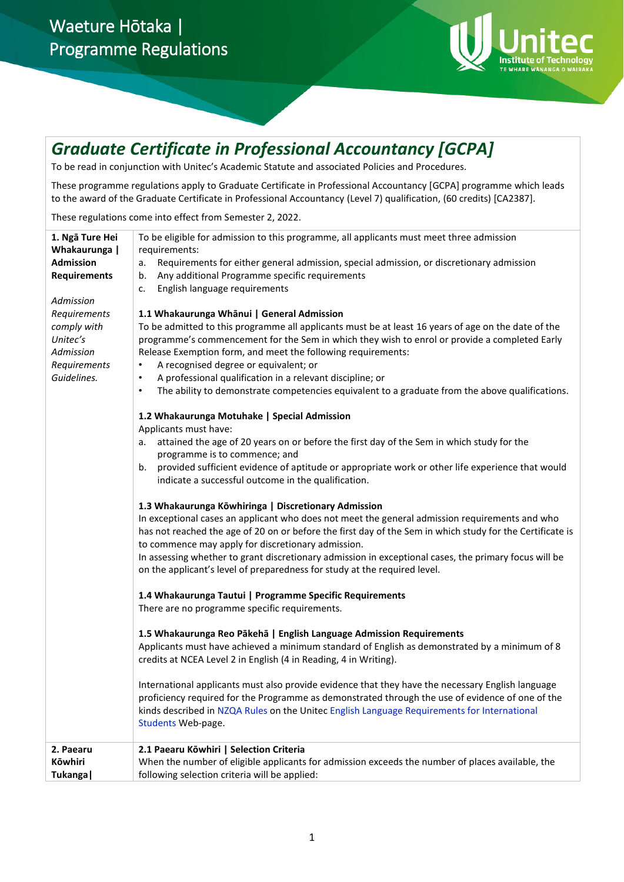

# *Graduate Certificate in Professional Accountancy [GCPA]*

To be read in conjunction with Unitec's Academic Statute and associated Policies and Procedures.

These programme regulations apply to Graduate Certificate in Professional Accountancy [GCPA] programme which leads to the award of the Graduate Certificate in Professional Accountancy (Level 7) qualification, (60 credits) [CA2387].

These regulations come into effect from Semester 2, 2022.

| 1. Ngā Ture Hei<br>Whakaurunga  <br><b>Admission</b><br><b>Requirements</b><br>Admission | To be eligible for admission to this programme, all applicants must meet three admission<br>requirements:<br>Requirements for either general admission, special admission, or discretionary admission<br>а.<br>Any additional Programme specific requirements<br>b.<br>English language requirements<br>c.                                                                                                                                                                                                                                                 |
|------------------------------------------------------------------------------------------|------------------------------------------------------------------------------------------------------------------------------------------------------------------------------------------------------------------------------------------------------------------------------------------------------------------------------------------------------------------------------------------------------------------------------------------------------------------------------------------------------------------------------------------------------------|
| Requirements<br>comply with<br>Unitec's<br>Admission<br>Requirements<br>Guidelines.      | 1.1 Whakaurunga Whānui   General Admission<br>To be admitted to this programme all applicants must be at least 16 years of age on the date of the<br>programme's commencement for the Sem in which they wish to enrol or provide a completed Early<br>Release Exemption form, and meet the following requirements:<br>A recognised degree or equivalent; or<br>٠<br>A professional qualification in a relevant discipline; or<br>$\bullet$<br>The ability to demonstrate competencies equivalent to a graduate from the above qualifications.<br>$\bullet$ |
|                                                                                          | 1.2 Whakaurunga Motuhake   Special Admission<br>Applicants must have:<br>attained the age of 20 years on or before the first day of the Sem in which study for the<br>а.<br>programme is to commence; and<br>provided sufficient evidence of aptitude or appropriate work or other life experience that would<br>b.<br>indicate a successful outcome in the qualification.                                                                                                                                                                                 |
|                                                                                          | 1.3 Whakaurunga Kōwhiringa   Discretionary Admission<br>In exceptional cases an applicant who does not meet the general admission requirements and who<br>has not reached the age of 20 on or before the first day of the Sem in which study for the Certificate is<br>to commence may apply for discretionary admission.<br>In assessing whether to grant discretionary admission in exceptional cases, the primary focus will be<br>on the applicant's level of preparedness for study at the required level.                                            |
|                                                                                          | 1.4 Whakaurunga Tautui   Programme Specific Requirements<br>There are no programme specific requirements.                                                                                                                                                                                                                                                                                                                                                                                                                                                  |
|                                                                                          | 1.5 Whakaurunga Reo Pākehā   English Language Admission Requirements<br>Applicants must have achieved a minimum standard of English as demonstrated by a minimum of 8<br>credits at NCEA Level 2 in English (4 in Reading, 4 in Writing).                                                                                                                                                                                                                                                                                                                  |
|                                                                                          | International applicants must also provide evidence that they have the necessary English language<br>proficiency required for the Programme as demonstrated through the use of evidence of one of the<br>kinds described in NZQA Rules on the Unitec English Language Requirements for International<br>Students Web-page.                                                                                                                                                                                                                                 |
| 2. Paearu<br>Kōwhiri<br>Tukanga                                                          | 2.1 Paearu Kōwhiri   Selection Criteria<br>When the number of eligible applicants for admission exceeds the number of places available, the<br>following selection criteria will be applied:                                                                                                                                                                                                                                                                                                                                                               |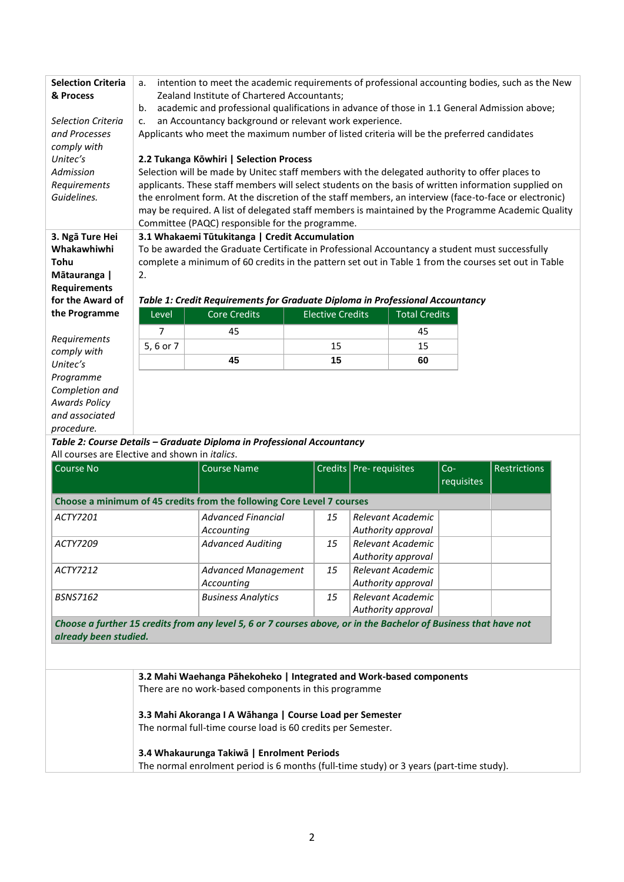| <b>Selection Criteria</b><br>& Process                 | intention to meet the academic requirements of professional accounting bodies, such as the New<br>a.<br>Zealand Institute of Chartered Accountants;<br>academic and professional qualifications in advance of those in 1.1 General Admission above;<br>b. |                                                                                                |                                                                                                |                      |                                                                                                       |  |
|--------------------------------------------------------|-----------------------------------------------------------------------------------------------------------------------------------------------------------------------------------------------------------------------------------------------------------|------------------------------------------------------------------------------------------------|------------------------------------------------------------------------------------------------|----------------------|-------------------------------------------------------------------------------------------------------|--|
| <b>Selection Criteria</b>                              | an Accountancy background or relevant work experience.<br>$C_{\star}$                                                                                                                                                                                     |                                                                                                |                                                                                                |                      |                                                                                                       |  |
| and Processes                                          |                                                                                                                                                                                                                                                           | Applicants who meet the maximum number of listed criteria will be the preferred candidates     |                                                                                                |                      |                                                                                                       |  |
| comply with                                            |                                                                                                                                                                                                                                                           |                                                                                                |                                                                                                |                      |                                                                                                       |  |
| Unitec's                                               | 2.2 Tukanga Kōwhiri   Selection Process                                                                                                                                                                                                                   |                                                                                                |                                                                                                |                      |                                                                                                       |  |
| Admission                                              |                                                                                                                                                                                                                                                           | Selection will be made by Unitec staff members with the delegated authority to offer places to |                                                                                                |                      |                                                                                                       |  |
| Requirements                                           |                                                                                                                                                                                                                                                           |                                                                                                |                                                                                                |                      | applicants. These staff members will select students on the basis of written information supplied on  |  |
| Guidelines.                                            |                                                                                                                                                                                                                                                           |                                                                                                |                                                                                                |                      | the enrolment form. At the discretion of the staff members, an interview (face-to-face or electronic) |  |
|                                                        |                                                                                                                                                                                                                                                           |                                                                                                |                                                                                                |                      | may be required. A list of delegated staff members is maintained by the Programme Academic Quality    |  |
|                                                        |                                                                                                                                                                                                                                                           |                                                                                                |                                                                                                |                      |                                                                                                       |  |
|                                                        |                                                                                                                                                                                                                                                           | Committee (PAQC) responsible for the programme.                                                |                                                                                                |                      |                                                                                                       |  |
| 3. Ngā Ture Hei                                        |                                                                                                                                                                                                                                                           | 3.1 Whakaemi Tūtukitanga   Credit Accumulation                                                 |                                                                                                |                      |                                                                                                       |  |
| Whakawhiwhi                                            |                                                                                                                                                                                                                                                           |                                                                                                | To be awarded the Graduate Certificate in Professional Accountancy a student must successfully |                      |                                                                                                       |  |
| Tohu                                                   | complete a minimum of 60 credits in the pattern set out in Table 1 from the courses set out in Table                                                                                                                                                      |                                                                                                |                                                                                                |                      |                                                                                                       |  |
| Mātauranga                                             | 2.                                                                                                                                                                                                                                                        |                                                                                                |                                                                                                |                      |                                                                                                       |  |
| <b>Requirements</b>                                    |                                                                                                                                                                                                                                                           |                                                                                                |                                                                                                |                      |                                                                                                       |  |
| for the Award of                                       | Table 1: Credit Requirements for Graduate Diploma in Professional Accountancy                                                                                                                                                                             |                                                                                                |                                                                                                |                      |                                                                                                       |  |
| the Programme                                          | Level                                                                                                                                                                                                                                                     | Core Credits                                                                                   | <b>Elective Credits</b>                                                                        | <b>Total Credits</b> |                                                                                                       |  |
|                                                        | 7                                                                                                                                                                                                                                                         | 45                                                                                             |                                                                                                | 45                   |                                                                                                       |  |
| Requirements                                           | 5, 6 or 7                                                                                                                                                                                                                                                 |                                                                                                | 15                                                                                             | 15                   |                                                                                                       |  |
| comply with<br>Unitec's                                |                                                                                                                                                                                                                                                           | 45                                                                                             | 15                                                                                             | 60                   |                                                                                                       |  |
|                                                        |                                                                                                                                                                                                                                                           |                                                                                                |                                                                                                |                      |                                                                                                       |  |
| Programme                                              |                                                                                                                                                                                                                                                           |                                                                                                |                                                                                                |                      |                                                                                                       |  |
| Completion and                                         |                                                                                                                                                                                                                                                           |                                                                                                |                                                                                                |                      |                                                                                                       |  |
| <b>Awards Policy</b>                                   |                                                                                                                                                                                                                                                           |                                                                                                |                                                                                                |                      |                                                                                                       |  |
| and associated                                         |                                                                                                                                                                                                                                                           |                                                                                                |                                                                                                |                      |                                                                                                       |  |
| procedure.                                             |                                                                                                                                                                                                                                                           |                                                                                                |                                                                                                |                      |                                                                                                       |  |
|                                                        |                                                                                                                                                                                                                                                           | Table 2: Course Details - Graduate Diploma in Professional Accountancy                         |                                                                                                |                      |                                                                                                       |  |
| All courses are Elective and shown in <i>italics</i> . |                                                                                                                                                                                                                                                           |                                                                                                |                                                                                                |                      |                                                                                                       |  |

| <b>Restrictions</b> | $Co-$<br>requisites | Credits   Pre-requisites                |    | <b>Course Name</b>                                                                                               | Course No                                |
|---------------------|---------------------|-----------------------------------------|----|------------------------------------------------------------------------------------------------------------------|------------------------------------------|
|                     |                     |                                         |    | Choose a minimum of 45 credits from the following Core Level 7 courses                                           |                                          |
|                     |                     | Relevant Academic<br>Authority approval | 15 | <b>Advanced Financial</b><br>Accounting                                                                          | ACTY7201                                 |
|                     |                     | Relevant Academic<br>Authority approval | 15 | <b>Advanced Auditing</b>                                                                                         | ACTY7209                                 |
|                     |                     | Relevant Academic<br>Authority approval | 15 | <b>Advanced Management</b><br>Accounting                                                                         | ACTY7212                                 |
|                     |                     | Relevant Academic<br>Authority approval | 15 | <b>Business Analytics</b>                                                                                        |                                          |
|                     |                     |                                         |    | Choose a further 15 credits from any level 5, 6 or 7 courses above, or in the Bachelor of Business that have not |                                          |
|                     |                     |                                         |    |                                                                                                                  | <b>BSNS7162</b><br>already been studied. |

**3.2 Mahi Waehanga Pāhekoheko | Integrated and Work-based components** There are no work-based components in this programme

## **3.3 Mahi Akoranga I A Wāhanga | Course Load per Semester**

The normal full-time course load is 60 credits per Semester.

## **3.4 Whakaurunga Takiwā | Enrolment Periods**

The normal enrolment period is 6 months (full-time study) or 3 years (part-time study).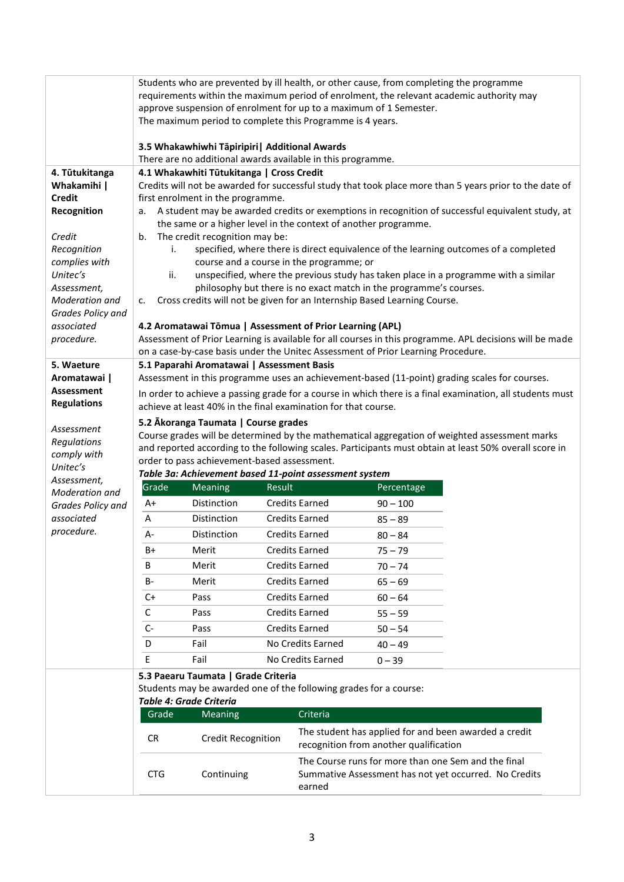|                                                      |                                                                                                                                                                                                                                                                                                                                                          | The maximum period to complete this Programme is 4 years.       |        |                                          | Students who are prevented by ill health, or other cause, from completing the programme<br>approve suspension of enrolment for up to a maximum of 1 Semester. | requirements within the maximum period of enrolment, the relevant academic authority may                     |
|------------------------------------------------------|----------------------------------------------------------------------------------------------------------------------------------------------------------------------------------------------------------------------------------------------------------------------------------------------------------------------------------------------------------|-----------------------------------------------------------------|--------|------------------------------------------|---------------------------------------------------------------------------------------------------------------------------------------------------------------|--------------------------------------------------------------------------------------------------------------|
|                                                      |                                                                                                                                                                                                                                                                                                                                                          | 3.5 Whakawhiwhi Tāpiripiri   Additional Awards                  |        |                                          |                                                                                                                                                               |                                                                                                              |
|                                                      |                                                                                                                                                                                                                                                                                                                                                          | There are no additional awards available in this programme.     |        |                                          |                                                                                                                                                               |                                                                                                              |
| 4. Tūtukitanga                                       |                                                                                                                                                                                                                                                                                                                                                          | 4.1 Whakawhiti Tūtukitanga   Cross Credit                       |        |                                          |                                                                                                                                                               |                                                                                                              |
| Whakamihi  <br><b>Credit</b>                         |                                                                                                                                                                                                                                                                                                                                                          | first enrolment in the programme.                               |        |                                          |                                                                                                                                                               | Credits will not be awarded for successful study that took place more than 5 years prior to the date of      |
| Recognition                                          | а.                                                                                                                                                                                                                                                                                                                                                       |                                                                 |        |                                          |                                                                                                                                                               | A student may be awarded credits or exemptions in recognition of successful equivalent study, at             |
|                                                      |                                                                                                                                                                                                                                                                                                                                                          | the same or a higher level in the context of another programme. |        |                                          |                                                                                                                                                               |                                                                                                              |
| Credit                                               | b.                                                                                                                                                                                                                                                                                                                                                       | The credit recognition may be:                                  |        |                                          |                                                                                                                                                               |                                                                                                              |
| Recognition                                          | i.                                                                                                                                                                                                                                                                                                                                                       |                                                                 |        |                                          |                                                                                                                                                               | specified, where there is direct equivalence of the learning outcomes of a completed                         |
| complies with                                        |                                                                                                                                                                                                                                                                                                                                                          |                                                                 |        | course and a course in the programme; or |                                                                                                                                                               |                                                                                                              |
| Unitec's                                             | ii.                                                                                                                                                                                                                                                                                                                                                      |                                                                 |        |                                          | philosophy but there is no exact match in the programme's courses.                                                                                            | unspecified, where the previous study has taken place in a programme with a similar                          |
| Assessment,<br>Moderation and                        | c.                                                                                                                                                                                                                                                                                                                                                       |                                                                 |        |                                          | Cross credits will not be given for an Internship Based Learning Course.                                                                                      |                                                                                                              |
| Grades Policy and                                    |                                                                                                                                                                                                                                                                                                                                                          |                                                                 |        |                                          |                                                                                                                                                               |                                                                                                              |
| associated                                           |                                                                                                                                                                                                                                                                                                                                                          | 4.2 Aromatawai Tōmua   Assessment of Prior Learning (APL)       |        |                                          |                                                                                                                                                               |                                                                                                              |
| procedure.                                           |                                                                                                                                                                                                                                                                                                                                                          |                                                                 |        |                                          |                                                                                                                                                               | Assessment of Prior Learning is available for all courses in this programme. APL decisions will be made      |
|                                                      |                                                                                                                                                                                                                                                                                                                                                          |                                                                 |        |                                          | on a case-by-case basis under the Unitec Assessment of Prior Learning Procedure.                                                                              |                                                                                                              |
| 5. Waeture<br>Aromatawai                             |                                                                                                                                                                                                                                                                                                                                                          | 5.1 Paparahi Aromatawai   Assessment Basis                      |        |                                          |                                                                                                                                                               |                                                                                                              |
| <b>Assessment</b>                                    | Assessment in this programme uses an achievement-based (11-point) grading scales for courses.                                                                                                                                                                                                                                                            |                                                                 |        |                                          |                                                                                                                                                               |                                                                                                              |
| <b>Regulations</b>                                   | In order to achieve a passing grade for a course in which there is a final examination, all students must<br>achieve at least 40% in the final examination for that course.                                                                                                                                                                              |                                                                 |        |                                          |                                                                                                                                                               |                                                                                                              |
| Assessment<br>Regulations<br>comply with<br>Unitec's | 5.2 Ākoranga Taumata   Course grades<br>Course grades will be determined by the mathematical aggregation of weighted assessment marks<br>and reported according to the following scales. Participants must obtain at least 50% overall score in<br>order to pass achievement-based assessment.<br>Table 3a: Achievement based 11-point assessment system |                                                                 |        |                                          |                                                                                                                                                               |                                                                                                              |
| Assessment,<br>Moderation and                        | Grade                                                                                                                                                                                                                                                                                                                                                    | Meaning                                                         | Result |                                          | Percentage                                                                                                                                                    |                                                                                                              |
| Grades Policy and                                    | A+                                                                                                                                                                                                                                                                                                                                                       | Distinction                                                     |        | <b>Credits Earned</b>                    | $90 - 100$                                                                                                                                                    |                                                                                                              |
| associated                                           | Α                                                                                                                                                                                                                                                                                                                                                        | Distinction                                                     |        | <b>Credits Earned</b>                    | $85 - 89$                                                                                                                                                     |                                                                                                              |
| procedure.                                           | А-                                                                                                                                                                                                                                                                                                                                                       | Distinction                                                     |        | <b>Credits Earned</b>                    | $80 - 84$                                                                                                                                                     |                                                                                                              |
|                                                      | B+                                                                                                                                                                                                                                                                                                                                                       | Merit                                                           |        | <b>Credits Earned</b>                    | $75 - 79$                                                                                                                                                     |                                                                                                              |
|                                                      | В                                                                                                                                                                                                                                                                                                                                                        | Merit                                                           |        | <b>Credits Earned</b>                    | $70 - 74$                                                                                                                                                     |                                                                                                              |
|                                                      | <b>B-</b>                                                                                                                                                                                                                                                                                                                                                | Merit                                                           |        | <b>Credits Earned</b>                    | $65 - 69$                                                                                                                                                     |                                                                                                              |
|                                                      | $C+$                                                                                                                                                                                                                                                                                                                                                     | Pass                                                            |        | <b>Credits Earned</b>                    | $60 - 64$                                                                                                                                                     |                                                                                                              |
|                                                      | C                                                                                                                                                                                                                                                                                                                                                        | Pass                                                            |        | <b>Credits Earned</b>                    | $55 - 59$                                                                                                                                                     |                                                                                                              |
|                                                      | $C -$                                                                                                                                                                                                                                                                                                                                                    | Pass                                                            |        | <b>Credits Earned</b>                    | $50 - 54$                                                                                                                                                     |                                                                                                              |
|                                                      | D                                                                                                                                                                                                                                                                                                                                                        | Fail                                                            |        | No Credits Earned                        | $40 - 49$                                                                                                                                                     |                                                                                                              |
|                                                      | E                                                                                                                                                                                                                                                                                                                                                        | Fail                                                            |        | No Credits Earned                        | $0 - 39$                                                                                                                                                      |                                                                                                              |
|                                                      |                                                                                                                                                                                                                                                                                                                                                          | 5.3 Paearu Taumata   Grade Criteria                             |        |                                          |                                                                                                                                                               |                                                                                                              |
|                                                      | Students may be awarded one of the following grades for a course:                                                                                                                                                                                                                                                                                        |                                                                 |        |                                          |                                                                                                                                                               |                                                                                                              |
|                                                      |                                                                                                                                                                                                                                                                                                                                                          | Table 4: Grade Criteria                                         |        |                                          |                                                                                                                                                               |                                                                                                              |
|                                                      | Criteria<br>Grade<br><b>Meaning</b>                                                                                                                                                                                                                                                                                                                      |                                                                 |        |                                          |                                                                                                                                                               |                                                                                                              |
|                                                      | <b>CR</b>                                                                                                                                                                                                                                                                                                                                                | <b>Credit Recognition</b>                                       |        |                                          | recognition from another qualification                                                                                                                        | The student has applied for and been awarded a credit                                                        |
|                                                      | <b>CTG</b>                                                                                                                                                                                                                                                                                                                                               | Continuing                                                      |        | earned                                   |                                                                                                                                                               | The Course runs for more than one Sem and the final<br>Summative Assessment has not yet occurred. No Credits |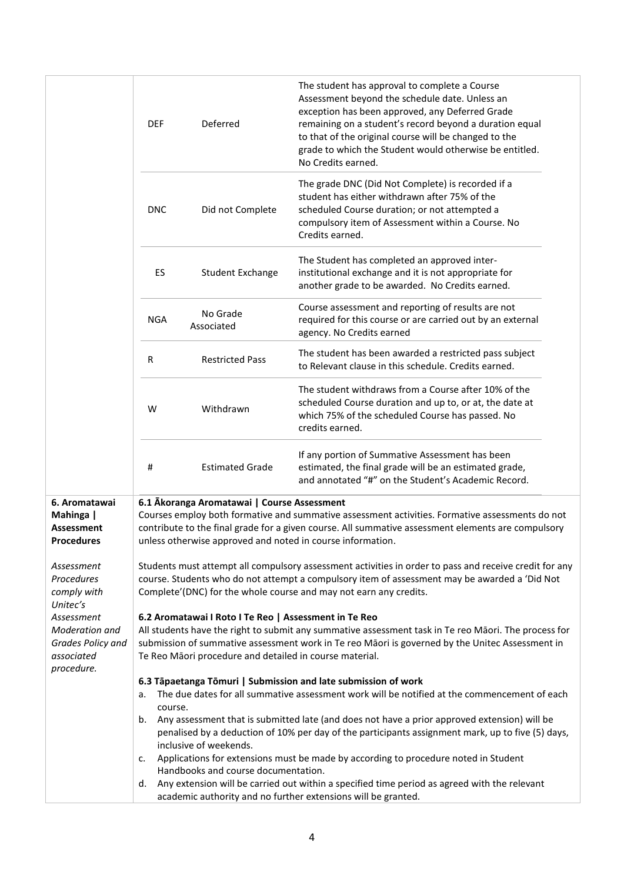|                                                                               | <b>DEF</b>                                                                                                                                                                                                                                                                                                                  | Deferred                            | The student has approval to complete a Course<br>Assessment beyond the schedule date. Unless an<br>exception has been approved, any Deferred Grade<br>remaining on a student's record beyond a duration equal<br>to that of the original course will be changed to the<br>grade to which the Student would otherwise be entitled.<br>No Credits earned. |  |  |
|-------------------------------------------------------------------------------|-----------------------------------------------------------------------------------------------------------------------------------------------------------------------------------------------------------------------------------------------------------------------------------------------------------------------------|-------------------------------------|---------------------------------------------------------------------------------------------------------------------------------------------------------------------------------------------------------------------------------------------------------------------------------------------------------------------------------------------------------|--|--|
|                                                                               | <b>DNC</b>                                                                                                                                                                                                                                                                                                                  | Did not Complete                    | The grade DNC (Did Not Complete) is recorded if a<br>student has either withdrawn after 75% of the<br>scheduled Course duration; or not attempted a<br>compulsory item of Assessment within a Course. No<br>Credits earned.                                                                                                                             |  |  |
|                                                                               | ES                                                                                                                                                                                                                                                                                                                          | <b>Student Exchange</b>             | The Student has completed an approved inter-<br>institutional exchange and it is not appropriate for<br>another grade to be awarded. No Credits earned.                                                                                                                                                                                                 |  |  |
|                                                                               | <b>NGA</b>                                                                                                                                                                                                                                                                                                                  | No Grade<br>Associated              | Course assessment and reporting of results are not<br>required for this course or are carried out by an external<br>agency. No Credits earned                                                                                                                                                                                                           |  |  |
|                                                                               | R                                                                                                                                                                                                                                                                                                                           | <b>Restricted Pass</b>              | The student has been awarded a restricted pass subject<br>to Relevant clause in this schedule. Credits earned.                                                                                                                                                                                                                                          |  |  |
|                                                                               | W                                                                                                                                                                                                                                                                                                                           | Withdrawn                           | The student withdraws from a Course after 10% of the<br>scheduled Course duration and up to, or at, the date at<br>which 75% of the scheduled Course has passed. No<br>credits earned.                                                                                                                                                                  |  |  |
|                                                                               | #                                                                                                                                                                                                                                                                                                                           | <b>Estimated Grade</b>              | If any portion of Summative Assessment has been<br>estimated, the final grade will be an estimated grade,<br>and annotated "#" on the Student's Academic Record.                                                                                                                                                                                        |  |  |
| 6. Aromatawai<br>Mahinga  <br>Assessment<br>Procedures                        | 6.1 Akoranga Aromatawai   Course Assessment<br>Courses employ both formative and summative assessment activities. Formative assessments do not<br>contribute to the final grade for a given course. All summative assessment elements are compulsory<br>unless otherwise approved and noted in course information.          |                                     |                                                                                                                                                                                                                                                                                                                                                         |  |  |
| Assessment<br>Procedures<br>comply with<br>Unitec's                           |                                                                                                                                                                                                                                                                                                                             |                                     | Students must attempt all compulsory assessment activities in order to pass and receive credit for any<br>course. Students who do not attempt a compulsory item of assessment may be awarded a 'Did Not<br>Complete'(DNC) for the whole course and may not earn any credits.                                                                            |  |  |
| Assessment<br>Moderation and<br>Grades Policy and<br>associated<br>procedure. | 6.2 Aromatawai I Roto I Te Reo   Assessment in Te Reo<br>All students have the right to submit any summative assessment task in Te reo Māori. The process for<br>submission of summative assessment work in Te reo Māori is governed by the Unitec Assessment in<br>Te Reo Māori procedure and detailed in course material. |                                     |                                                                                                                                                                                                                                                                                                                                                         |  |  |
|                                                                               | a.                                                                                                                                                                                                                                                                                                                          |                                     | 6.3 Tāpaetanga Tōmuri   Submission and late submission of work<br>The due dates for all summative assessment work will be notified at the commencement of each                                                                                                                                                                                          |  |  |
|                                                                               | course.<br>b.                                                                                                                                                                                                                                                                                                               | inclusive of weekends.              | Any assessment that is submitted late (and does not have a prior approved extension) will be<br>penalised by a deduction of 10% per day of the participants assignment mark, up to five (5) days,                                                                                                                                                       |  |  |
|                                                                               | c.                                                                                                                                                                                                                                                                                                                          | Handbooks and course documentation. | Applications for extensions must be made by according to procedure noted in Student                                                                                                                                                                                                                                                                     |  |  |
|                                                                               | d.                                                                                                                                                                                                                                                                                                                          |                                     | Any extension will be carried out within a specified time period as agreed with the relevant<br>academic authority and no further extensions will be granted.                                                                                                                                                                                           |  |  |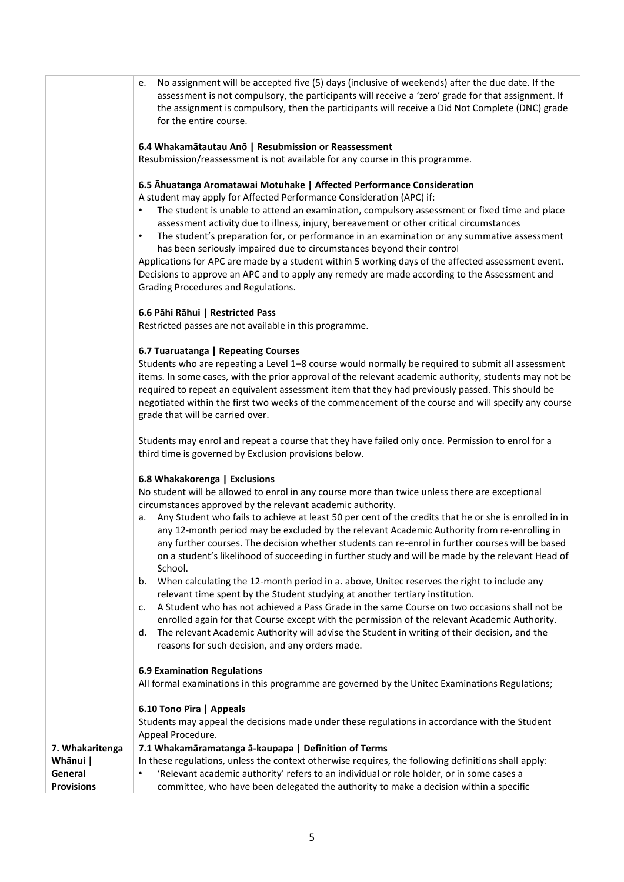|                   | No assignment will be accepted five (5) days (inclusive of weekends) after the due date. If the<br>e.<br>assessment is not compulsory, the participants will receive a 'zero' grade for that assignment. If<br>the assignment is compulsory, then the participants will receive a Did Not Complete (DNC) grade<br>for the entire course.<br>6.4 Whakamātautau Anō   Resubmission or Reassessment<br>Resubmission/reassessment is not available for any course in this programme.<br>6.5 Ahuatanga Aromatawai Motuhake   Affected Performance Consideration<br>A student may apply for Affected Performance Consideration (APC) if:<br>The student is unable to attend an examination, compulsory assessment or fixed time and place<br>assessment activity due to illness, injury, bereavement or other critical circumstances<br>The student's preparation for, or performance in an examination or any summative assessment<br>$\bullet$<br>has been seriously impaired due to circumstances beyond their control<br>Applications for APC are made by a student within 5 working days of the affected assessment event.<br>Decisions to approve an APC and to apply any remedy are made according to the Assessment and<br>Grading Procedures and Regulations. |
|-------------------|------------------------------------------------------------------------------------------------------------------------------------------------------------------------------------------------------------------------------------------------------------------------------------------------------------------------------------------------------------------------------------------------------------------------------------------------------------------------------------------------------------------------------------------------------------------------------------------------------------------------------------------------------------------------------------------------------------------------------------------------------------------------------------------------------------------------------------------------------------------------------------------------------------------------------------------------------------------------------------------------------------------------------------------------------------------------------------------------------------------------------------------------------------------------------------------------------------------------------------------------------------------|
|                   | 6.6 Pāhi Rāhui   Restricted Pass<br>Restricted passes are not available in this programme.                                                                                                                                                                                                                                                                                                                                                                                                                                                                                                                                                                                                                                                                                                                                                                                                                                                                                                                                                                                                                                                                                                                                                                       |
|                   | 6.7 Tuaruatanga   Repeating Courses<br>Students who are repeating a Level 1-8 course would normally be required to submit all assessment<br>items. In some cases, with the prior approval of the relevant academic authority, students may not be<br>required to repeat an equivalent assessment item that they had previously passed. This should be<br>negotiated within the first two weeks of the commencement of the course and will specify any course<br>grade that will be carried over.                                                                                                                                                                                                                                                                                                                                                                                                                                                                                                                                                                                                                                                                                                                                                                 |
|                   | Students may enrol and repeat a course that they have failed only once. Permission to enrol for a<br>third time is governed by Exclusion provisions below.                                                                                                                                                                                                                                                                                                                                                                                                                                                                                                                                                                                                                                                                                                                                                                                                                                                                                                                                                                                                                                                                                                       |
|                   | 6.8 Whakakorenga   Exclusions<br>No student will be allowed to enrol in any course more than twice unless there are exceptional<br>circumstances approved by the relevant academic authority.<br>Any Student who fails to achieve at least 50 per cent of the credits that he or she is enrolled in in<br>a.<br>any 12-month period may be excluded by the relevant Academic Authority from re-enrolling in<br>any further courses. The decision whether students can re-enrol in further courses will be based<br>on a student's likelihood of succeeding in further study and will be made by the relevant Head of<br>School.<br>When calculating the 12-month period in a. above, Unitec reserves the right to include any<br>b.<br>relevant time spent by the Student studying at another tertiary institution.                                                                                                                                                                                                                                                                                                                                                                                                                                              |
|                   | A Student who has not achieved a Pass Grade in the same Course on two occasions shall not be<br>c.<br>enrolled again for that Course except with the permission of the relevant Academic Authority.<br>The relevant Academic Authority will advise the Student in writing of their decision, and the<br>d.<br>reasons for such decision, and any orders made.                                                                                                                                                                                                                                                                                                                                                                                                                                                                                                                                                                                                                                                                                                                                                                                                                                                                                                    |
|                   | <b>6.9 Examination Regulations</b><br>All formal examinations in this programme are governed by the Unitec Examinations Regulations;                                                                                                                                                                                                                                                                                                                                                                                                                                                                                                                                                                                                                                                                                                                                                                                                                                                                                                                                                                                                                                                                                                                             |
|                   | 6.10 Tono Pīra   Appeals<br>Students may appeal the decisions made under these regulations in accordance with the Student<br>Appeal Procedure.                                                                                                                                                                                                                                                                                                                                                                                                                                                                                                                                                                                                                                                                                                                                                                                                                                                                                                                                                                                                                                                                                                                   |
| 7. Whakaritenga   | 7.1 Whakamāramatanga ā-kaupapa   Definition of Terms                                                                                                                                                                                                                                                                                                                                                                                                                                                                                                                                                                                                                                                                                                                                                                                                                                                                                                                                                                                                                                                                                                                                                                                                             |
| Whānui            | In these regulations, unless the context otherwise requires, the following definitions shall apply:                                                                                                                                                                                                                                                                                                                                                                                                                                                                                                                                                                                                                                                                                                                                                                                                                                                                                                                                                                                                                                                                                                                                                              |
| General           | 'Relevant academic authority' refers to an individual or role holder, or in some cases a<br>٠                                                                                                                                                                                                                                                                                                                                                                                                                                                                                                                                                                                                                                                                                                                                                                                                                                                                                                                                                                                                                                                                                                                                                                    |
| <b>Provisions</b> | committee, who have been delegated the authority to make a decision within a specific                                                                                                                                                                                                                                                                                                                                                                                                                                                                                                                                                                                                                                                                                                                                                                                                                                                                                                                                                                                                                                                                                                                                                                            |